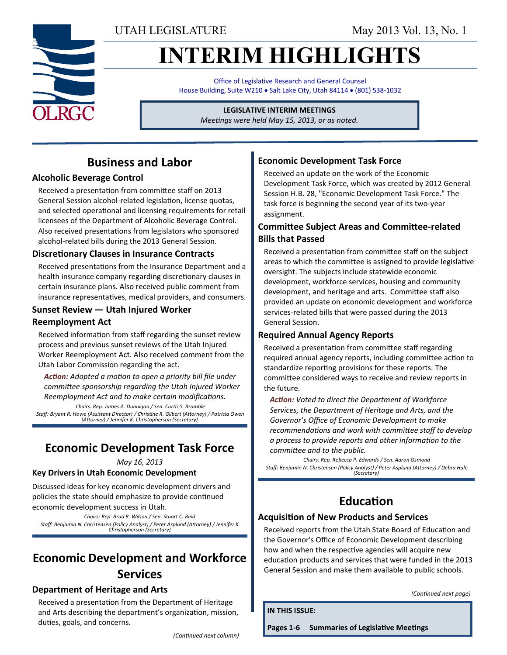UTAH LEGISLATURE May 2013 Vol. 13, No. 1

# **INTERIM HIGHLIGHTS**

Office of Legislative Research and General Counsel House Building, Suite W210 . Salt Lake City, Utah 84114 . (801) 538-1032

#### **LEGISLATIVE INTERIM MEETINGS**

*Meetings were held May 15, 2013, or as noted.*

## **Business and Labor**

#### **Alcoholic Beverage Control**

Received a presentation from committee staff on 2013 General Session alcohol-related legislation, license quotas, and selected operational and licensing requirements for retail licensees of the Department of Alcoholic Beverage Control. Also received presentations from legislators who sponsored alcohol-related bills during the 2013 General Session.

#### **Discretionary Clauses in Insurance Contracts**

Received presentations from the Insurance Department and a health insurance company regarding discretionary clauses in certain insurance plans. Also received public comment from insurance representatives, medical providers, and consumers.

#### **Sunset Review — Utah Injured Worker Reemployment Act**

Received information from staff regarding the sunset review process and previous sunset reviews of the Utah Injured Worker Reemployment Act. Also received comment from the Utah Labor Commission regarding the act.

*Action: Adopted a motion to open a priority bill file under committee sponsorship regarding the Utah Injured Worker Reemployment Act and to make certain modifications. Chairs: Rep. James A. Dunnigan / Sen. Curtis S. Bramble Staff: Bryant R. Howe (Assistant Director) / Christine R. Gilbert (Attorney) / Patricia Owen (Attorney) / Jennifer K. Christopherson (Secretary)*

## **Economic Development Task Force**

*May 16, 2013*

#### **Key Drivers in Utah Economic Development**

Discussed ideas for key economic development drivers and policies the state should emphasize to provide continued economic development success in Utah.

*Chairs: Rep. Brad R. Wilson / Sen. Stuart C. Reid Staff: Benjamin N. Christensen (Policy Analyst) / Peter Asplund (Attorney) / Jennifer K. Christopherson (Secretary)*

## **Economic Development and Workforce Services**

#### **Department of Heritage and Arts**

Received a presentation from the Department of Heritage and Arts describing the department's organization, mission, duties, goals, and concerns.

#### *(Continued next column)*

### **Economic Development Task Force**

Received an update on the work of the Economic Development Task Force, which was created by 2012 General Session H.B. 28, "Economic Development Task Force." The task force is beginning the second year of its two-year assignment.

#### **Committee Subject Areas and Committee-related Bills that Passed**

Received a presentation from committee staff on the subject areas to which the committee is assigned to provide legislative oversight. The subjects include statewide economic development, workforce services, housing and community development, and heritage and arts. Committee staff also provided an update on economic development and workforce services-related bills that were passed during the 2013 General Session.

#### **Required Annual Agency Reports**

Received a presentation from committee staff regarding required annual agency reports, including committee action to standardize reporting provisions for these reports. The committee considered ways to receive and review reports in the future.

*Action: Voted to direct the Department of Workforce Services, the Department of Heritage and Arts, and the Governor's Office of Economic Development to make recommendations and work with committee staff to develop a process to provide reports and other information to the committee and to the public.*

*Chairs: Rep. Rebecca P. Edwards / Sen. Aaron Osmond Staff: Benjamin N. Christensen (Policy Analyst) / Peter Asplund (Attorney) / Debra Hale (Secretary)*

## **Education**

#### **Acquisition of New Products and Services**

Received reports from the Utah State Board of Education and the Governor's Office of Economic Development describing how and when the respective agencies will acquire new education products and services that were funded in the 2013 General Session and make them available to public schools.

*(Continued next page)*

**IN THIS ISSUE:**

**Pages 1-6 Summaries of Legislative Meetings**

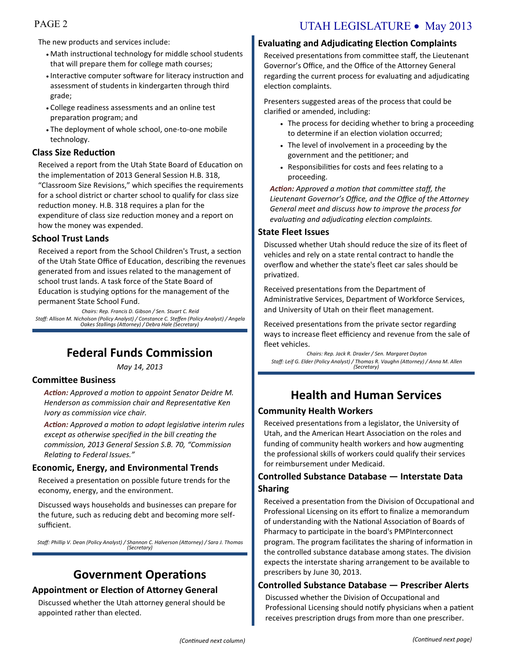#### The new products and services include:

- Math instructional technology for middle school students that will prepare them for college math courses;
- Interactive computer software for literacy instruction and assessment of students in kindergarten through third grade;
- College readiness assessments and an online test preparation program; and
- The deployment of whole school, one-to-one mobile technology.

#### **Class Size Reduction**

Received a report from the Utah State Board of Education on the implementation of 2013 General Session H.B. 318, "Classroom Size Revisions," which specifies the requirements for a school district or charter school to qualify for class size reduction money. H.B. 318 requires a plan for the expenditure of class size reduction money and a report on how the money was expended.

#### **School Trust Lands**

Received a report from the School Children's Trust, a section of the Utah State Office of Education, describing the revenues generated from and issues related to the management of school trust lands. A task force of the State Board of Education is studying options for the management of the permanent State School Fund.

*Chairs: Rep. Francis D. Gibson / Sen. Stuart C. Reid Staff: Allison M. Nicholson (Policy Analyst) / Constance C. Steffen (Policy Analyst) / Angela Oakes Stallings (Attorney) / Debra Hale (Secretary)*

## **Federal Funds Commission**

*May 14, 2013*

#### **Committee Business**

*Action: Approved a motion to appoint Senator Deidre M. Henderson as commission chair and Representative Ken Ivory as commission vice chair.* 

*Action: Approved a motion to adopt legislative interim rules except as otherwise specified in the bill creating the commission, 2013 General Session S.B. 70, "Commission Relating to Federal Issues."*

#### **Economic, Energy, and Environmental Trends**

Received a presentation on possible future trends for the economy, energy, and the environment.

Discussed ways households and businesses can prepare for the future, such as reducing debt and becoming more selfsufficient.

*Staff: Phillip V. Dean (Policy Analyst) / Shannon C. Halverson (Attorney) / Sara J. Thomas (Secretary)*

## **Government Operations**

#### **Appointment or Election of Attorney General**

Discussed whether the Utah attorney general should be appointed rather than elected.

#### **Evaluating and Adjudicating Election Complaints**

Received presentations from committee staff, the Lieutenant Governor's Office, and the Office of the Attorney General regarding the current process for evaluating and adjudicating election complaints.

Presenters suggested areas of the process that could be clarified or amended, including:

- The process for deciding whether to bring a proceeding to determine if an election violation occurred;
- The level of involvement in a proceeding by the government and the petitioner; and
- Responsibilities for costs and fees relating to a proceeding.

*Action: Approved a motion that committee staff, the Lieutenant Governor's Office, and the Office of the Attorney General meet and discuss how to improve the process for evaluating and adjudicating election complaints.*

#### **State Fleet Issues**

Discussed whether Utah should reduce the size of its fleet of vehicles and rely on a state rental contract to handle the overflow and whether the state's fleet car sales should be privatized.

Received presentations from the Department of Administrative Services, Department of Workforce Services, and University of Utah on their fleet management.

Received presentations from the private sector regarding ways to increase fleet efficiency and revenue from the sale of fleet vehicles.

*Chairs: Rep. Jack R. Draxler / Sen. Margaret Dayton Staff: Leif G. Elder (Policy Analyst) / Thomas R. Vaughn (Attorney) / Anna M. Allen (Secretary)*

## **Health and Human Services**

#### **Community Health Workers**

Received presentations from a legislator, the University of Utah, and the American Heart Association on the roles and funding of community health workers and how augmenting the professional skills of workers could qualify their services for reimbursement under Medicaid.

#### **Controlled Substance Database — Interstate Data Sharing**

Received a presentation from the Division of Occupational and Professional Licensing on its effort to finalize a memorandum of understanding with the National Association of Boards of Pharmacy to participate in the board's PMPInterconnect program. The program facilitates the sharing of information in the controlled substance database among states. The division expects the interstate sharing arrangement to be available to prescribers by June 30, 2013.

#### **Controlled Substance Database — Prescriber Alerts**

Discussed whether the Division of Occupational and Professional Licensing should notify physicians when a patient receives prescription drugs from more than one prescriber.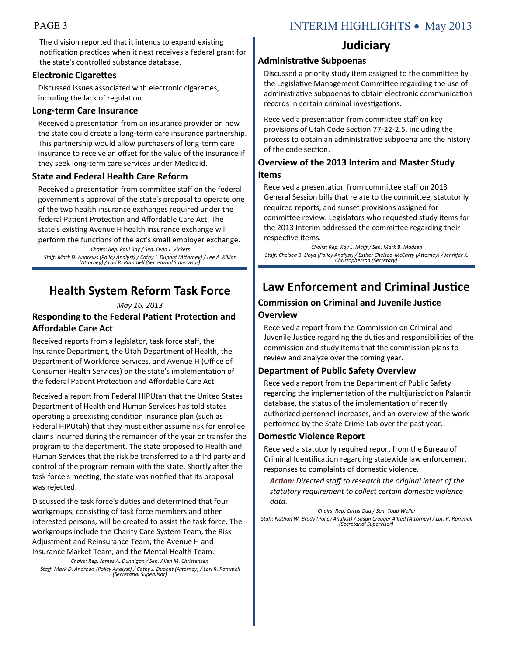## PAGE 3 INTERIM HIGHLIGHTS • May 2013

The division reported that it intends to expand existing notification practices when it next receives a federal grant for the state's controlled substance database.

#### **Electronic Cigarettes**

Discussed issues associated with electronic cigarettes, including the lack of regulation.

#### **Long-term Care Insurance**

Received a presentation from an insurance provider on how the state could create a long-term care insurance partnership. This partnership would allow purchasers of long-term care insurance to receive an offset for the value of the insurance if they seek long-term care services under Medicaid.

### **State and Federal Health Care Reform**

Received a presentation from committee staff on the federal government's approval of the state's proposal to operate one of the two health insurance exchanges required under the federal Patient Protection and Affordable Care Act. The state's existing Avenue H health insurance exchange will perform the functions of the act's small employer exchange. *Chairs: Rep. Paul Ray / Sen. Evan J. Vickers Staff: Mark D. Andrews (Policy Analyst) / Cathy J. Dupont (Attorney) / Lee A. Killian (Attorney) / Lori R. Rammell (Secretarial Supervisor)*

## **Health System Reform Task Force**

#### *May 16, 2013*

#### **Responding to the Federal Patient Protection and Affordable Care Act**

Received reports from a legislator, task force staff, the Insurance Department, the Utah Department of Health, the Department of Workforce Services, and Avenue H (Office of Consumer Health Services) on the state's implementation of the federal Patient Protection and Affordable Care Act.

Received a report from Federal HIPUtah that the United States Department of Health and Human Services has told states operating a preexisting condition insurance plan (such as Federal HIPUtah) that they must either assume risk for enrollee claims incurred during the remainder of the year or transfer the program to the department. The state proposed to Health and Human Services that the risk be transferred to a third party and control of the program remain with the state. Shortly after the task force's meeting, the state was notified that its proposal was rejected.

Discussed the task force's duties and determined that four workgroups, consisting of task force members and other interested persons, will be created to assist the task force. The workgroups include the Charity Care System Team, the Risk Adjustment and Reinsurance Team, the Avenue H and Insurance Market Team, and the Mental Health Team.

*Chairs: Rep. James A. Dunnigan / Sen. Allen M. Christensen Staff: Mark D. Andrews (Policy Analyst) / Cathy J. Dupont (Attorney) / Lori R. Rammell (Secretarial Supervisor)*

## **Judiciary**

#### **Administrative Subpoenas**

Discussed a priority study item assigned to the committee by the Legislative Management Committee regarding the use of administrative subpoenas to obtain electronic communication records in certain criminal investigations.

Received a presentation from committee staff on key provisions of Utah Code Section 77-22-2.5, including the process to obtain an administrative subpoena and the history of the code section.

#### **Overview of the 2013 Interim and Master Study Items**

Received a presentation from committee staff on 2013 General Session bills that relate to the committee, statutorily required reports, and sunset provisions assigned for committee review. Legislators who requested study items for the 2013 Interim addressed the committee regarding their respective items.

*Chairs: Rep. Kay L. McIff / Sen. Mark B. Madsen Staff: Chelsea B. Lloyd (Policy Analyst) / Esther Chelsea-McCarty (Attorney) / Jennifer K. Christopherson (Secretary)*

## **Law Enforcement and Criminal Justice**

## **Commission on Criminal and Juvenile Justice**

#### **Overview**

Received a report from the Commission on Criminal and Juvenile Justice regarding the duties and responsibilities of the commission and study items that the commission plans to review and analyze over the coming year.

#### **Department of Public Safety Overview**

Received a report from the Department of Public Safety regarding the implementation of the multijurisdiction Palantir database, the status of the implementation of recently authorized personnel increases, and an overview of the work performed by the State Crime Lab over the past year.

#### **Domestic Violence Report**

Received a statutorily required report from the Bureau of Criminal Identification regarding statewide law enforcement responses to complaints of domestic violence.

*Action: Directed staff to research the original intent of the statutory requirement to collect certain domestic violence data.*

*Chairs: Rep. Curtis Oda / Sen. Todd Weiler Staff: Nathan W. Brady (Policy Analyst) / Susan Creager Allred (Attorney) / Lori R. Rammell (Secretarial Supervisor)*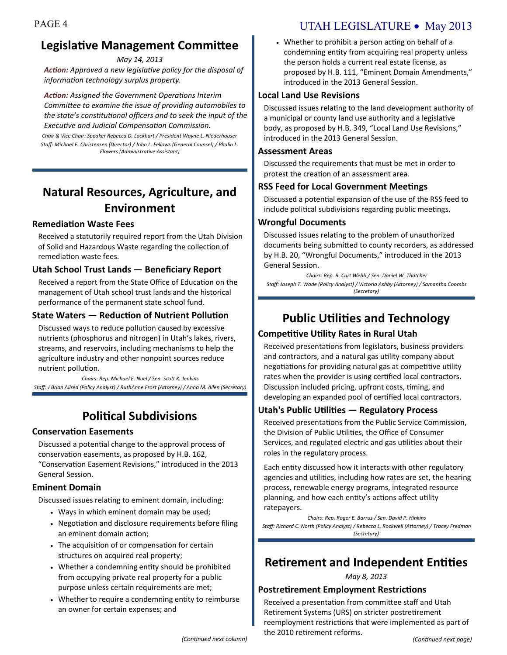## **Legislative Management Committee**

*May 14, 2013*

*Action: Approved a new legislative policy for the disposal of information technology surplus property.*

*Action: Assigned the Government Operations Interim Committee to examine the issue of providing automobiles to the state's constitutional officers and to seek the input of the Executive and Judicial Compensation Commission.*

*Chair & Vice Chair: Speaker Rebecca D. Lockhart / President Wayne L. Niederhauser Staff: Michael E. Christensen (Director) / John L. Fellows (General Counsel) / Phalin L. Flowers (Administrative Assistant)* 

## **Natural Resources, Agriculture, and Environment**

#### **Remediation Waste Fees**

Received a statutorily required report from the Utah Division of Solid and Hazardous Waste regarding the collection of remediation waste fees.

#### **Utah School Trust Lands — Beneficiary Report**

Received a report from the State Office of Education on the management of Utah school trust lands and the historical performance of the permanent state school fund.

#### **State Waters — Reduction of Nutrient Pollution**

Discussed ways to reduce pollution caused by excessive nutrients (phosphorus and nitrogen) in Utah's lakes, rivers, streams, and reservoirs, including mechanisms to help the agriculture industry and other nonpoint sources reduce nutrient pollution.

*Chairs: Rep. Michael E. Noel / Sen. Scott K. Jenkins Staff: J Brian Allred (Policy Analyst) / RuthAnne Frost (Attorney) / Anna M. Allen (Secretary)*

## **Political Subdivisions**

#### **Conservation Easements**

Discussed a potential change to the approval process of conservation easements, as proposed by H.B. 162, "Conservation Easement Revisions," introduced in the 2013 General Session.

#### **Eminent Domain**

Discussed issues relating to eminent domain, including:

- Ways in which eminent domain may be used;
- Negotiation and disclosure requirements before filing an eminent domain action;
- The acquisition of or compensation for certain structures on acquired real property;
- Whether a condemning entity should be prohibited from occupying private real property for a public purpose unless certain requirements are met;
- Whether to require a condemning entity to reimburse an owner for certain expenses; and

## PAGE 4 UTAH LEGISLATURE • May 2013

 Whether to prohibit a person acting on behalf of a condemning entity from acquiring real property unless the person holds a current real estate license, as proposed by H.B. 111, "Eminent Domain Amendments," introduced in the 2013 General Session.

#### **Local Land Use Revisions**

Discussed issues relating to the land development authority of a municipal or county land use authority and a legislative body, as proposed by H.B. 349, "Local Land Use Revisions," introduced in the 2013 General Session.

#### **Assessment Areas**

Discussed the requirements that must be met in order to protest the creation of an assessment area.

#### **RSS Feed for Local Government Meetings**

Discussed a potential expansion of the use of the RSS feed to include political subdivisions regarding public meetings.

#### **Wrongful Documents**

Discussed issues relating to the problem of unauthorized documents being submitted to county recorders, as addressed by H.B. 20, "Wrongful Documents," introduced in the 2013 General Session.

*Chairs: Rep. R. Curt Webb / Sen. Daniel W. Thatcher Staff: Joseph T. Wade (Policy Analyst) / Victoria Ashby (Attorney) / Samantha Coombs (Secretary)*

## **Public Utilities and Technology**

#### **Competitive Utility Rates in Rural Utah**

Received presentations from legislators, business providers and contractors, and a natural gas utility company about negotiations for providing natural gas at competitive utility rates when the provider is using certified local contractors. Discussion included pricing, upfront costs, timing, and developing an expanded pool of certified local contractors.

#### **Utah's Public Utilities — Regulatory Process**

Received presentations from the Public Service Commission, the Division of Public Utilities, the Office of Consumer Services, and regulated electric and gas utilities about their roles in the regulatory process.

Each entity discussed how it interacts with other regulatory agencies and utilities, including how rates are set, the hearing process, renewable energy programs, integrated resource planning, and how each entity's actions affect utility ratepayers.

*Chairs: Rep. Roger E. Barrus / Sen. David P. Hinkins Staff: Richard C. North (Policy Analyst) / Rebecca L. Rockwell (Attorney) / Tracey Fredman (Secretary)*

## **Retirement and Independent Entities**

*May 8, 2013*

#### **Postretirement Employment Restrictions**

Received a presentation from committee staff and Utah Retirement Systems (URS) on stricter postretirement reemployment restrictions that were implemented as part of the 2010 retirement reforms. *(Continued next column) (Continued next page)*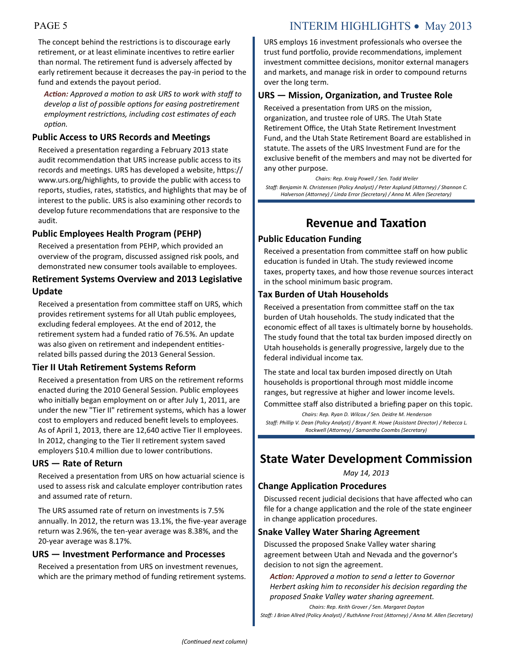## PAGE 5 INTERIM HIGHLIGHTS • May 2013

The concept behind the restrictions is to discourage early retirement, or at least eliminate incentives to retire earlier than normal. The retirement fund is adversely affected by early retirement because it decreases the pay-in period to the fund and extends the payout period.

*Action: Approved a motion to ask URS to work with staff to develop a list of possible options for easing postretirement employment restrictions, including cost estimates of each option.*

#### **Public Access to URS Records and Meetings**

Received a presentation regarding a February 2013 state audit recommendation that URS increase public access to its records and meetings. URS has developed a website, https:// www.urs.org/highlights, to provide the public with access to reports, studies, rates, statistics, and highlights that may be of interest to the public. URS is also examining other records to develop future recommendations that are responsive to the audit.

#### **Public Employees Health Program (PEHP)**

Received a presentation from PEHP, which provided an overview of the program, discussed assigned risk pools, and demonstrated new consumer tools available to employees.

#### **Retirement Systems Overview and 2013 Legislative Update**

Received a presentation from committee staff on URS, which provides retirement systems for all Utah public employees, excluding federal employees. At the end of 2012, the retirement system had a funded ratio of 76.5%. An update was also given on retirement and independent entitiesrelated bills passed during the 2013 General Session.

#### **Tier II Utah Retirement Systems Reform**

Received a presentation from URS on the retirement reforms enacted during the 2010 General Session. Public employees who initially began employment on or after July 1, 2011, are under the new "Tier II" retirement systems, which has a lower cost to employers and reduced benefit levels to employees. As of April 1, 2013, there are 12,640 active Tier II employees. In 2012, changing to the Tier II retirement system saved employers \$10.4 million due to lower contributions.

#### **URS — Rate of Return**

Received a presentation from URS on how actuarial science is used to assess risk and calculate employer contribution rates and assumed rate of return.

The URS assumed rate of return on investments is 7.5% annually. In 2012, the return was 13.1%, the five-year average return was 2.96%, the ten-year average was 8.38%, and the 20-year average was 8.17%.

#### **URS — Investment Performance and Processes**

Received a presentation from URS on investment revenues, which are the primary method of funding retirement systems. URS employs 16 investment professionals who oversee the trust fund portfolio, provide recommendations, implement investment committee decisions, monitor external managers and markets, and manage risk in order to compound returns over the long term.

### **URS — Mission, Organization, and Trustee Role**

Received a presentation from URS on the mission, organization, and trustee role of URS. The Utah State Retirement Office, the Utah State Retirement Investment Fund, and the Utah State Retirement Board are established in statute. The assets of the URS Investment Fund are for the exclusive benefit of the members and may not be diverted for any other purpose.

*Chairs: Rep. Kraig Powell / Sen. Todd Weiler Staff: Benjamin N. Christensen (Policy Analyst) / Peter Asplund (Attorney) / Shannon C. Halverson (Attorney) / Linda Error (Secretary) / Anna M. Allen (Secretary)*

## **Revenue and Taxation**

#### **Public Education Funding**

Received a presentation from committee staff on how public education is funded in Utah. The study reviewed income taxes, property taxes, and how those revenue sources interact in the school minimum basic program.

#### **Tax Burden of Utah Households**

Received a presentation from committee staff on the tax burden of Utah households. The study indicated that the economic effect of all taxes is ultimately borne by households. The study found that the total tax burden imposed directly on Utah households is generally progressive, largely due to the federal individual income tax.

The state and local tax burden imposed directly on Utah households is proportional through most middle income ranges, but regressive at higher and lower income levels.

Committee staff also distributed a briefing paper on this topic.

*Chairs: Rep. Ryan D. Wilcox / Sen. Deidre M. Henderson Staff: Phillip V. Dean (Policy Analyst) / Bryant R. Howe (Assistant Director) / Rebecca L. Rockwell (Attorney) / Samantha Coombs (Secretary)*

## **State Water Development Commission**

*May 14, 2013*

#### **Change Application Procedures**

Discussed recent judicial decisions that have affected who can file for a change application and the role of the state engineer in change application procedures.

#### **Snake Valley Water Sharing Agreement**

Discussed the proposed Snake Valley water sharing agreement between Utah and Nevada and the governor's decision to not sign the agreement.

*Action: Approved a motion to send a letter to Governor Herbert asking him to reconsider his decision regarding the proposed Snake Valley water sharing agreement. Chairs: Rep. Keith Grover / Sen. Margaret Dayton*

*Staff: J Brian Allred (Policy Analyst) / RuthAnne Frost (Attorney) / Anna M. Allen (Secretary)*